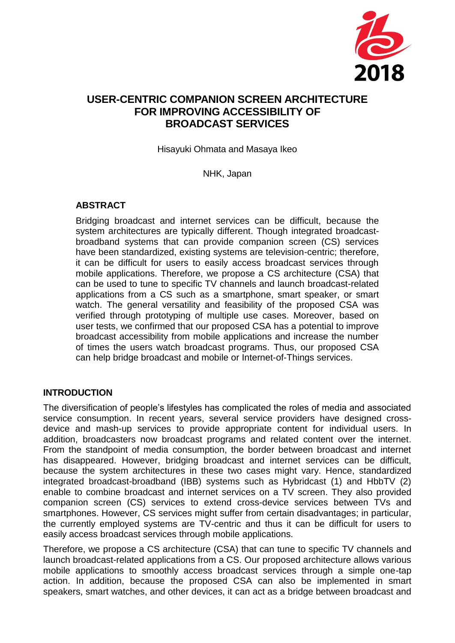

# **USER-CENTRIC COMPANION SCREEN ARCHITECTURE FOR IMPROVING ACCESSIBILITY OF BROADCAST SERVICES**

Hisayuki Ohmata and Masaya Ikeo

NHK, Japan

### **ABSTRACT**

Bridging broadcast and internet services can be difficult, because the system architectures are typically different. Though integrated broadcastbroadband systems that can provide companion screen (CS) services have been standardized, existing systems are television-centric; therefore, it can be difficult for users to easily access broadcast services through mobile applications. Therefore, we propose a CS architecture (CSA) that can be used to tune to specific TV channels and launch broadcast-related applications from a CS such as a smartphone, smart speaker, or smart watch. The general versatility and feasibility of the proposed CSA was verified through prototyping of multiple use cases. Moreover, based on user tests, we confirmed that our proposed CSA has a potential to improve broadcast accessibility from mobile applications and increase the number of times the users watch broadcast programs. Thus, our proposed CSA can help bridge broadcast and mobile or Internet-of-Things services.

### **INTRODUCTION**

The diversification of people's lifestyles has complicated the roles of media and associated service consumption. In recent years, several service providers have designed crossdevice and mash-up services to provide appropriate content for individual users. In addition, broadcasters now broadcast programs and related content over the internet. From the standpoint of media consumption, the border between broadcast and internet has disappeared. However, bridging broadcast and internet services can be difficult, because the system architectures in these two cases might vary. Hence, standardized integrated broadcast-broadband (IBB) systems such as Hybridcast (1) and HbbTV (2) enable to combine broadcast and internet services on a TV screen. They also provided companion screen (CS) services to extend cross-device services between TVs and smartphones. However, CS services might suffer from certain disadvantages; in particular, the currently employed systems are TV-centric and thus it can be difficult for users to easily access broadcast services through mobile applications.

Therefore, we propose a CS architecture (CSA) that can tune to specific TV channels and launch broadcast-related applications from a CS. Our proposed architecture allows various mobile applications to smoothly access broadcast services through a simple one-tap action. In addition, because the proposed CSA can also be implemented in smart speakers, smart watches, and other devices, it can act as a bridge between broadcast and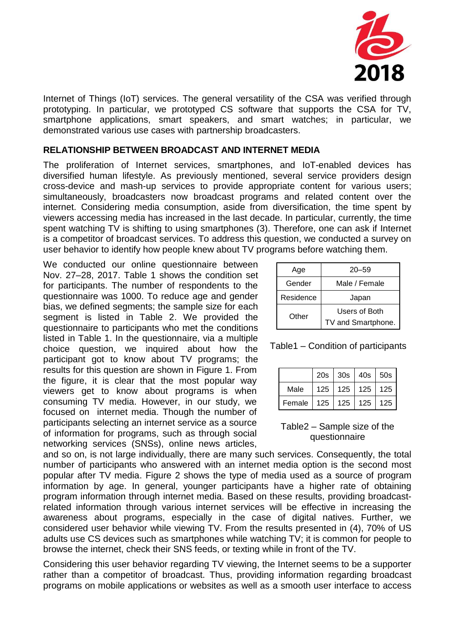

Internet of Things (IoT) services. The general versatility of the CSA was verified through prototyping. In particular, we prototyped CS software that supports the CSA for TV, smartphone applications, smart speakers, and smart watches; in particular, we demonstrated various use cases with partnership broadcasters.

#### **RELATIONSHIP BETWEEN BROADCAST AND INTERNET MEDIA**

The proliferation of Internet services, smartphones, and IoT-enabled devices has diversified human lifestyle. As previously mentioned, several service providers design cross-device and mash-up services to provide appropriate content for various users; simultaneously, broadcasters now broadcast programs and related content over the internet. Considering media consumption, aside from diversification, the time spent by viewers accessing media has increased in the last decade. In particular, currently, the time spent watching TV is shifting to using smartphones (3). Therefore, one can ask if Internet is a competitor of broadcast services. To address this question, we conducted a survey on user behavior to identify how people knew about TV programs before watching them.

We conducted our online questionnaire between Nov. 27–28, 2017. Table 1 shows the condition set for participants. The number of respondents to the questionnaire was 1000. To reduce age and gender bias, we defined segments; the sample size for each segment is listed in Table 2. We provided the questionnaire to participants who met the conditions listed in Table 1. In the questionnaire, via a multiple choice question, we inquired about how the participant got to know about TV programs; the results for this question are shown in Figure 1. From the figure, it is clear that the most popular way viewers get to know about programs is when consuming TV media. However, in our study, we focused on internet media. Though the number of participants selecting an internet service as a source of information for programs, such as through social networking services (SNSs), online news articles,

| Age       | $20 - 59$                           |  |
|-----------|-------------------------------------|--|
| Gender    | Male / Female                       |  |
| Residence | Japan                               |  |
| Other     | Users of Both<br>TV and Smartphone. |  |

| Table1 - Condition of participants |  |  |  |
|------------------------------------|--|--|--|
|------------------------------------|--|--|--|

|        |           | 20s 30s 40s 50s       |                  |     |
|--------|-----------|-----------------------|------------------|-----|
| Male   |           | 125   125   125   125 |                  |     |
| Female | 125   125 |                       | 125 <sub>1</sub> | 125 |

### Table2 – Sample size of the questionnaire

and so on, is not large individually, there are many such services. Consequently, the total number of participants who answered with an internet media option is the second most popular after TV media. Figure 2 shows the type of media used as a source of program information by age. In general, younger participants have a higher rate of obtaining program information through internet media. Based on these results, providing broadcastrelated information through various internet services will be effective in increasing the awareness about programs, especially in the case of digital natives. Further, we considered user behavior while viewing TV. From the results presented in (4), 70% of US adults use CS devices such as smartphones while watching TV; it is common for people to browse the internet, check their SNS feeds, or texting while in front of the TV.

Considering this user behavior regarding TV viewing, the Internet seems to be a supporter rather than a competitor of broadcast. Thus, providing information regarding broadcast programs on mobile applications or websites as well as a smooth user interface to access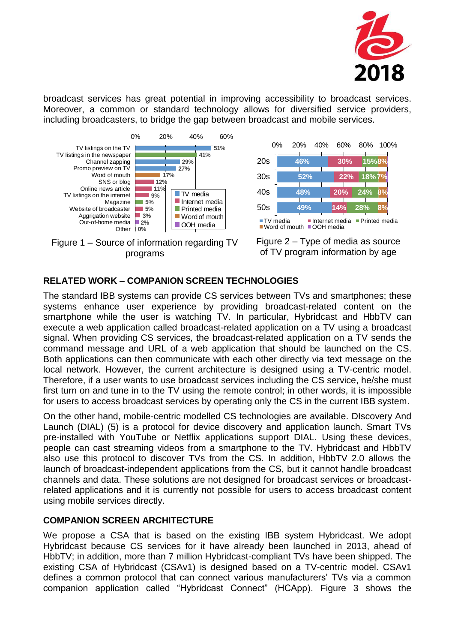

broadcast services has great potential in improving accessibility to broadcast services. Moreover, a common or standard technology allows for diversified service providers, including broadcasters, to bridge the gap between broadcast and mobile services.









### **RELATED WORK – COMPANION SCREEN TECHNOLOGIES**

The standard IBB systems can provide CS services between TVs and smartphones; these systems enhance user experience by providing broadcast-related content on the smartphone while the user is watching TV. In particular, Hybridcast and HbbTV can execute a web application called broadcast-related application on a TV using a broadcast signal. When providing CS services, the broadcast-related application on a TV sends the command message and URL of a web application that should be launched on the CS. Both applications can then communicate with each other directly via text message on the local network. However, the current architecture is designed using a TV-centric model. Therefore, if a user wants to use broadcast services including the CS service, he/she must first turn on and tune in to the TV using the remote control; in other words, it is impossible for users to access broadcast services by operating only the CS in the current IBB system.

On the other hand, mobile-centric modelled CS technologies are available. DIscovery And Launch (DIAL) (5) is a protocol for device discovery and application launch. Smart TVs pre-installed with YouTube or Netflix applications support DIAL. Using these devices, people can cast streaming videos from a smartphone to the TV. Hybridcast and HbbTV also use this protocol to discover TVs from the CS. In addition, HbbTV 2.0 allows the launch of broadcast-independent applications from the CS, but it cannot handle broadcast channels and data. These solutions are not designed for broadcast services or broadcastrelated applications and it is currently not possible for users to access broadcast content using mobile services directly.

### **COMPANION SCREEN ARCHITECTURE**

We propose a CSA that is based on the existing IBB system Hybridcast. We adopt Hybridcast because CS services for it have already been launched in 2013, ahead of HbbTV; in addition, more than 7 million Hybridcast-compliant TVs have been shipped. The existing CSA of Hybridcast (CSAv1) is designed based on a TV-centric model. CSAv1 defines a common protocol that can connect various manufacturers' TVs via a common companion application called "Hybridcast Connect" (HCApp). Figure 3 shows the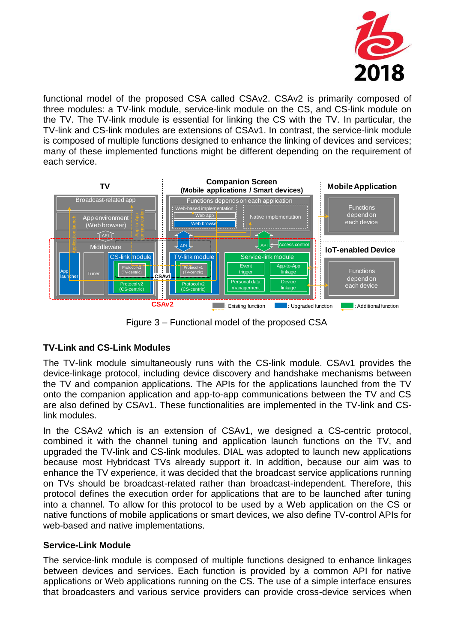

functional model of the proposed CSA called CSAv2. CSAv2 is primarily composed of three modules: a TV-link module, service-link module on the CS, and CS-link module on the TV. The TV-link module is essential for linking the CS with the TV. In particular, the TV-link and CS-link modules are extensions of CSAv1. In contrast, the service-link module is composed of multiple functions designed to enhance the linking of devices and services; many of these implemented functions might be different depending on the requirement of each service.



Figure 3 – Functional model of the proposed CSA

## **TV-Link and CS-Link Modules**

The TV-link module simultaneously runs with the CS-link module. CSAv1 provides the device-linkage protocol, including device discovery and handshake mechanisms between the TV and companion applications. The APIs for the applications launched from the TV onto the companion application and app-to-app communications between the TV and CS are also defined by CSAv1. These functionalities are implemented in the TV-link and CSlink modules.

In the CSAv2 which is an extension of CSAv1, we designed a CS-centric protocol, combined it with the channel tuning and application launch functions on the TV, and upgraded the TV-link and CS-link modules. DIAL was adopted to launch new applications because most Hybridcast TVs already support it. In addition, because our aim was to enhance the TV experience, it was decided that the broadcast service applications running on TVs should be broadcast-related rather than broadcast-independent. Therefore, this protocol defines the execution order for applications that are to be launched after tuning into a channel. To allow for this protocol to be used by a Web application on the CS or native functions of mobile applications or smart devices, we also define TV-control APIs for web-based and native implementations.

### **Service-Link Module**

The service-link module is composed of multiple functions designed to enhance linkages between devices and services. Each function is provided by a common API for native applications or Web applications running on the CS. The use of a simple interface ensures that broadcasters and various service providers can provide cross-device services when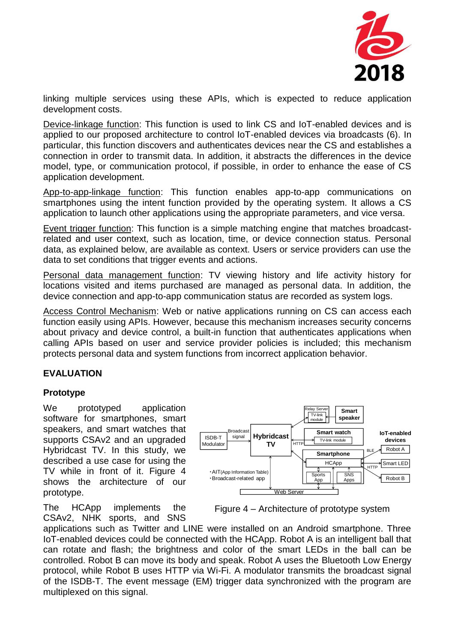

linking multiple services using these APIs, which is expected to reduce application development costs.

Device-linkage function: This function is used to link CS and IoT-enabled devices and is applied to our proposed architecture to control IoT-enabled devices via broadcasts (6). In particular, this function discovers and authenticates devices near the CS and establishes a connection in order to transmit data. In addition, it abstracts the differences in the device model, type, or communication protocol, if possible, in order to enhance the ease of CS application development.

App-to-app-linkage function: This function enables app-to-app communications on smartphones using the intent function provided by the operating system. It allows a CS application to launch other applications using the appropriate parameters, and vice versa.

Event trigger function: This function is a simple matching engine that matches broadcastrelated and user context, such as location, time, or device connection status. Personal data, as explained below, are available as context. Users or service providers can use the data to set conditions that trigger events and actions.

Personal data management function: TV viewing history and life activity history for locations visited and items purchased are managed as personal data. In addition, the device connection and app-to-app communication status are recorded as system logs.

Access Control Mechanism: Web or native applications running on CS can access each function easily using APIs. However, because this mechanism increases security concerns about privacy and device control, a built-in function that authenticates applications when calling APIs based on user and service provider policies is included; this mechanism protects personal data and system functions from incorrect application behavior.

### **EVALUATION**

### **Prototype**

We prototyped application software for smartphones, smart speakers, and smart watches that supports CSAv2 and an upgraded Hybridcast TV. In this study, we described a use case for using the TV while in front of it. Figure 4 shows the architecture of our prototype.

The HCApp implements the CSAv2, NHK sports, and SNS



Figure 4 – Architecture of prototype system

applications such as Twitter and LINE were installed on an Android smartphone. Three IoT-enabled devices could be connected with the HCApp. Robot A is an intelligent ball that can rotate and flash; the brightness and color of the smart LEDs in the ball can be controlled. Robot B can move its body and speak. Robot A uses the Bluetooth Low Energy protocol, while Robot B uses HTTP via Wi-Fi. A modulator transmits the broadcast signal of the ISDB-T. The event message (EM) trigger data synchronized with the program are multiplexed on this signal.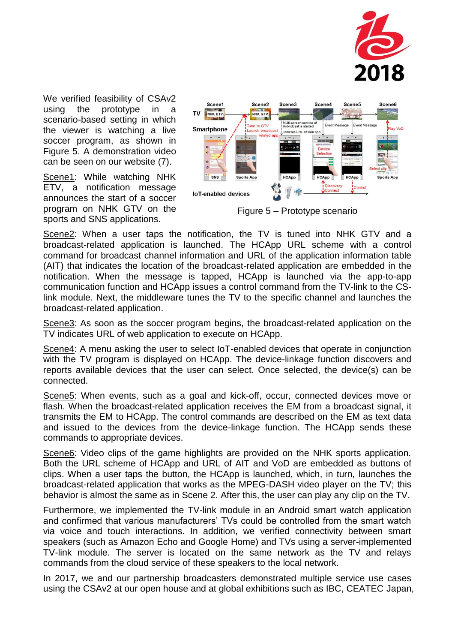

We verified feasibility of CSAv2 using the prototype in a scenario-based setting in which the viewer is watching a live soccer program, as shown in Figure 5. A demonstration video can be seen on our website (7).

Scene1: While watching NHK ETV, a notification message announces the start of a soccer program on NHK GTV on the sports and SNS applications.



Figure 5 – Prototype scenario

Scene2: When a user taps the notification, the TV is tuned into NHK GTV and a broadcast-related application is launched. The HCApp URL scheme with a control command for broadcast channel information and URL of the application information table (AIT) that indicates the location of the broadcast-related application are embedded in the notification. When the message is tapped, HCApp is launched via the app-to-app communication function and HCApp issues a control command from the TV-link to the CSlink module. Next, the middleware tunes the TV to the specific channel and launches the broadcast-related application.

Scene3: As soon as the soccer program begins, the broadcast-related application on the TV indicates URL of web application to execute on HCApp.

Scene4: A menu asking the user to select IoT-enabled devices that operate in conjunction with the TV program is displayed on HCApp. The device-linkage function discovers and reports available devices that the user can select. Once selected, the device(s) can be connected.

Scene5: When events, such as a goal and kick-off, occur, connected devices move or flash. When the broadcast-related application receives the EM from a broadcast signal, it transmits the EM to HCApp. The control commands are described on the EM as text data and issued to the devices from the device-linkage function. The HCApp sends these commands to appropriate devices.

Scene6: Video clips of the game highlights are provided on the NHK sports application. Both the URL scheme of HCApp and URL of AIT and VoD are embedded as buttons of clips. When a user taps the button, the HCApp is launched, which, in turn, launches the broadcast-related application that works as the MPEG-DASH video player on the TV; this behavior is almost the same as in Scene 2. After this, the user can play any clip on the TV.

Furthermore, we implemented the TV-link module in an Android smart watch application and confirmed that various manufacturers' TVs could be controlled from the smart watch via voice and touch interactions. In addition, we verified connectivity between smart speakers (such as Amazon Echo and Google Home) and TVs using a server-implemented TV-link module. The server is located on the same network as the TV and relays commands from the cloud service of these speakers to the local network.

In 2017, we and our partnership broadcasters demonstrated multiple service use cases using the CSAv2 at our open house and at global exhibitions such as IBC, CEATEC Japan,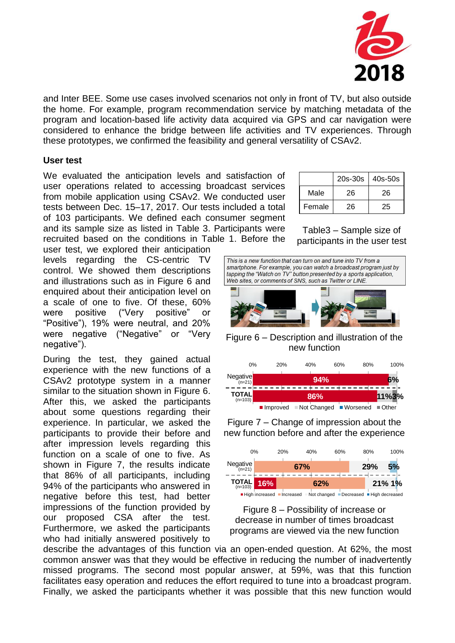

and Inter BEE. Some use cases involved scenarios not only in front of TV, but also outside the home. For example, program recommendation service by matching metadata of the program and location-based life activity data acquired via GPS and car navigation were considered to enhance the bridge between life activities and TV experiences. Through these prototypes, we confirmed the feasibility and general versatility of CSAv2.

#### **User test**

We evaluated the anticipation levels and satisfaction of user operations related to accessing broadcast services from mobile application using CSAv2. We conducted user tests between Dec. 15–17, 2017. Our tests included a total of 103 participants. We defined each consumer segment and its sample size as listed in Table 3. Participants were recruited based on the conditions in Table 1. Before the

user test, we explored their anticipation levels regarding the CS-centric TV control. We showed them descriptions and illustrations such as in Figure 6 and enquired about their anticipation level on a scale of one to five. Of these, 60% were positive ("Very positive" or "Positive"), 19% were neutral, and 20% were negative ("Negative" or "Very negative").

During the test, they gained actual experience with the new functions of a CSAv2 prototype system in a manner similar to the situation shown in Figure 6. After this, we asked the participants about some questions regarding their experience. In particular, we asked the participants to provide their before and after impression levels regarding this function on a scale of one to five. As shown in Figure 7, the results indicate that 86% of all participants, including 94% of the participants who answered in negative before this test, had better impressions of the function provided by our proposed CSA after the test. Furthermore, we asked the participants who had initially answered positively to

|        | 20s-30s | 40s-50s |
|--------|---------|---------|
| Male   | 26      | 26      |
| Female | 26      | 25      |

Table3 – Sample size of participants in the user test



Figure 6 – Description and illustration of the new function



Figure 7 – Change of impression about the new function before and after the experience



Figure 8 – Possibility of increase or decrease in number of times broadcast programs are viewed via the new function

describe the advantages of this function via an open-ended question. At 62%, the most common answer was that they would be effective in reducing the number of inadvertently missed programs. The second most popular answer, at 59%, was that this function facilitates easy operation and reduces the effort required to tune into a broadcast program. Finally, we asked the participants whether it was possible that this new function would